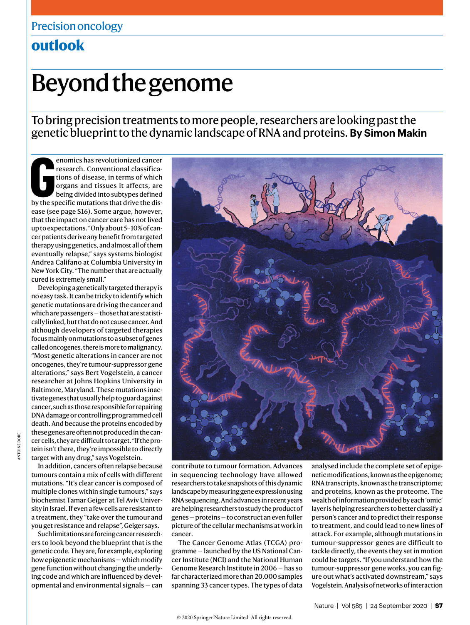## **outlook**

# Beyond the genome

To bring precision treatments to more people, researchers are looking past the genetic blueprint to the dynamic landscape of RNA and proteins. **By Simon Makin**

**EXECUTE ENTIREM**<br>
FERRICHT CONVENTIGATIONS OF THE SPECIFICATIONS OF DISPONSITIONS OF THE DRIVER DRIVER SPECIFIC MUST DRIVER A DRIVER DRIVER AND NOT DRIVER A DRIVER SPECIFIC MUTATIONS AND THE DRIVER SPECIFIC MUTATIONS THAT enomics has revolutionized cancer research. Conventional classifications of disease, in terms of which organs and tissues it affects, are being divided into subtypes defined ease (see page S16). Some argue, however, that the impact on cancer care has not lived up to expectations. "Only about 5–10% of cancer patients derive any benefit from targeted therapy using genetics, and almost all of them eventually relapse," says systems biologist Andrea Califano at Columbia University in New York City. "The number that are actually cured is extremely small."

Developing a genetically targeted therapy is no easy task. It can be tricky to identify which genetic mutations are driving the cancer and which are passengers — those that are statistically linked, but that do not cause cancer. And although developers of targeted therapies focus mainly on mutations to a subset of genes called oncogenes, there is more to malignancy. "Most genetic alterations in cancer are not oncogenes, they're tumour-suppressor gene alterations," says Bert Vogelstein, a cancer researcher at Johns Hopkins University in Baltimore, Maryland. These mutations inactivate genes that usually help to guard against cancer, such as those responsible for repairing DNA damage or controlling programmed cell death. And because the proteins encoded by these genes are often not produced in the cancer cells, they are difficult to target. "If the protein isn't there, they're impossible to directly target with any drug," says Vogelstein.

In addition, cancers often relapse because tumours contain a mix of cells with different mutations. "It's clear cancer is composed of multiple clones within single tumours," says biochemist Tamar Geiger at Tel Aviv University in Israel. If even a few cells are resistant to a treatment, they "take over the tumour and you get resistance and relapse", Geiger says.

Such limitations are forcing cancer researchers to look beyond the blueprint that is the genetic code. They are, for example, exploring how epigenetic mechanisms — which modify gene function without changing the underlying code and which are influenced by developmental and environmental signals — can



contribute to tumour formation. Advances in sequencing technology have allowed researchers to take snapshots of this dynamic landscape by measuring gene expression using RNA sequencing. And advances in recent years are helping researchers to study the product of genes — proteins — to construct an even fuller picture of the cellular mechanisms at work in cancer.

The Cancer Genome Atlas (TCGA) programme — launched by the US National Cancer Institute (NCI) and the National Human Genome Research Institute in 2006 — has so far characterized more than 20,000 samples spanning 33 cancer types. The types of data analysed include the complete set of epigenetic modifications, known as the epigenome; RNA transcripts, known as the transcriptome; and proteins, known as the proteome. The wealth of information provided by each 'omic' layer is helping researchers to better classify a person's cancer and to predict their response to treatment, and could lead to new lines of attack. For example, although mutations in tumour-suppressor genes are difficult to tackle directly, the events they set in motion could be targets. "If you understand how the tumour-suppressor gene works, you can figure out what's activated downstream," says Vogelstein. Analysis of networks of interaction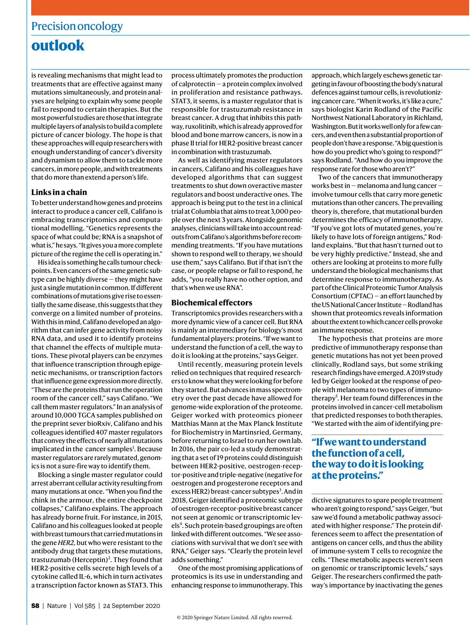## **outlook**

is revealing mechanisms that might lead to treatments that are effective against many mutations simultaneously, and protein analyses are helping to explain why some people fail to respond to certain therapies. But the most powerful studies are those that integrate multiple layers of analysis to build a complete picture of cancer biology. The hope is that these approaches will equip researchers with enough understanding of cancer's diversity and dynamism to allow them to tackle more cancers, in more people, and with treatments that do more than extend a person's life.

#### **Links in a chain**

To better understand how genes and proteins interact to produce a cancer cell, Califano is embracing transcriptomics and computational modelling. "Genetics represents the space of what could be; RNA is a snapshot of what is," he says. "It gives you a more complete picture of the regime the cell is operating in."

His idea is something he calls tumour checkpoints. Even cancers of the same genetic subtype can be highly diverse — they might have just a single mutation in common. If different combinations of mutations give rise to essentially the same disease, this suggests that they converge on a limited number of proteins. With this in mind, Califano developed an algorithm that can infer gene activity from noisy RNA data, and used it to identify proteins that channel the effects of multiple mutations. These pivotal players can be enzymes that influence transcription through epigenetic mechanisms, or transcription factors that influence gene expression more directly. "These are the proteins that run the operation room of the cancer cell," says Califano. "We call them master regulators." In an analysis of around 10,000 TGCA samples published on the preprint sever bioRxiv, Califano and his colleagues identified 407 master regulators that convey the effects of nearly all mutations implicated in the cancer samples<sup>1</sup>. Because master regulators are rarely mutated, genomics is not a sure-fire way to identify them.

Blocking a single master regulator could arrest aberrant cellular activity resulting from many mutations at once. "When you find the chink in the armour, the entire checkpoint collapses," Califano explains. The approach has already borne fruit. For instance, in 2015, Califano and his colleagues looked at people with breast tumours that carried mutations in the gene *HER2*, but who were resistant to the antibody drug that targets these mutations, trastuzumab (Herceptin)<sup>2</sup>. They found that HER2-positive cells secrete high levels of a cytokine called IL-6, which in turn activates a transcription factor known as STAT3. This

process ultimately promotes the production of calprotectin — a protein complex involved in proliferation and resistance pathways. STAT3, it seems, is a master regulator that is responsible for trastuzumab resistance in breast cancer. A drug that inhibits this pathway, ruxolitinib, which is already approved for blood and bone marrow cancers, is now in a phase II trial for HER2-positive breast cancer in combination with trastuzumab.

As well as identifying master regulators in cancers, Califano and his colleagues have developed algorithms that can suggest treatments to shut down overactive master regulators and boost underactive ones. The approach is being put to the test in a clinical trial at Columbia that aims to treat 3,000 people over the next 3 years. Alongside genomic analyses, clinicians will take into account readouts from Califano's algorithms before recommending treatments. "If you have mutations shown to respond well to therapy, we should use them," says Califano. But if that isn't the case, or people relapse or fail to respond, he adds, "you really have no other option, and that's when we use RNA".

#### **Biochemical effectors**

Transcriptomics provides researchers with a more dynamic view of a cancer cell. But RNA is mainly an intermediary for biology's most fundamental players: proteins. "If we want to understand the function of a cell, the way to do it is looking at the proteins," says Geiger.

Until recently, measuring protein levels relied on techniques that required researchers to know what they were looking for before they started. But advances in mass spectrometry over the past decade have allowed for genome-wide exploration of the proteome. Geiger worked with proteomics pioneer Matthias Mann at the Max Planck Institute for Biochemistry in Martinsried, Germany, before returning to Israel to run her own lab. In 2016, the pair co-led a study demonstrating that a set of 19 proteins could distinguish between HER2-positive, oestrogen-receptor-positive and triple-negative (negative for oestrogen and progesterone receptors and excess HER2) breast-cancer subtypes<sup>3</sup>. And in 2018, Geiger identified a proteomic subtype of oestrogen-receptor-positive breast cancer not seen at genomic or transcriptomic levels<sup>4</sup>. Such protein-based groupings are often linked with different outcomes. "We see associations with survival that we don't see with RNA," Geiger says. "Clearly the protein level adds something."

One of the most promising applications of proteomics is its use in understanding and enhancing response to immunotherapy. This approach, which largely eschews genetic targeting in favour of boosting the body's natural defences against tumour cells, is revolutionizing cancer care. "When it works, it's like a cure," says biologist Karin Rodland of the Pacific Northwest National Laboratory in Richland, Washington. But it works well only for a few cancers, and even then a substantial proportion of people don't have a response. "A big question is how do you predict who's going to respond?" says Rodland. "And how do you improve the response rate for those who aren't?"

Two of the cancers that immunotherapy works best in — melanoma and lung cancer involve tumour cells that carry more genetic mutations than other cancers. The prevailing theory is, therefore, that mutational burden determines the efficacy of immunotherapy. "If you've got lots of mutated genes, you're likely to have lots of foreign antigens," Rodland explains. "But that hasn't turned out to be very highly predictive." Instead, she and others are looking at proteins to more fully understand the biological mechanisms that determine response to immunotherapy. As part of the Clinical Proteomic Tumor Analysis Consortium (CPTAC) — an effort launched by the US National Cancer Institute — Rodland has shown that proteomics reveals information about the extent to which cancer cells provoke an immune response.

The hypothesis that proteins are more predictive of immunotherapy response than genetic mutations has not yet been proved clinically, Rodland says, but some striking research findings have emerged. A 2019 study led by Geiger looked at the response of people with melanoma to two types of immunotherapy<sup>5</sup>. Her team found differences in the proteins involved in cancer-cell metabolism that predicted responses to both therapies. "We started with the aim of identifying pre-

### **"If we want to understand the function of a cell, the way to do it is looking at the proteins."**

dictive signatures to spare people treatment who aren't going to respond," says Geiger, "but saw we'd found a metabolic pathway associated with higher response." The protein differences seem to affect the presentation of antigens on cancer cells, and thus the ability of immune-system T cells to recognize the cells. "These metabolic aspects weren't seen on genomic or transcriptomic levels," says Geiger. The researchers confirmed the pathway's importance by inactivating the genes